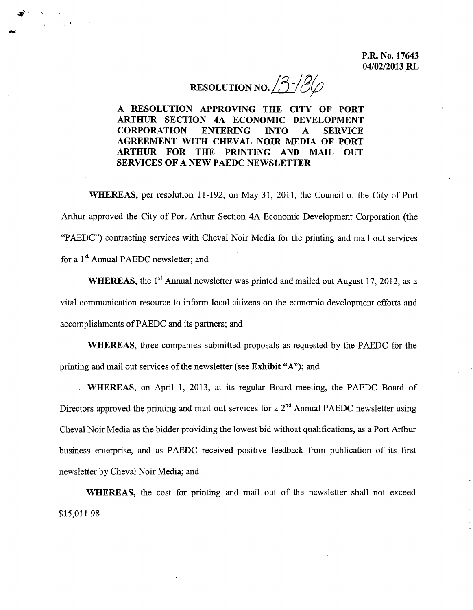RESOLUTION NO.  $3/86$ 

A RESOLUTION APPROVING THE CITY OF PORT ARTHUR SECTION 4A ECONOMIC DEVELOPMENT CORPORATION ENTERING INTO A SERVICE AGREEMENT WITH CHEVAL NOIR MEDIA OF PORT ARTHUR FOR THE PRINTING AND MAIL OUT SERVICES OF A NEW PAEDC NEWSLETTER

WHEREAS, per resolution 11-192, on May 31, 2011, the Council of the City of Port Arthur approved the City of Port Arthur Section 4A Economic Development Corporation (the "PAEDC") contracting services with Cheval Noir Media for the printing and mail out services for a 1<sup>st</sup> Annual PAEDC newsletter; and

WHEREAS, the  $1<sup>st</sup>$  Annual newsletter was printed and mailed out August 17, 2012, as a vital communication resource to inform local citizens on the economic development efforts and accomplishments of PAEDC and its partners; and

WHEREAS, three companies submitted proposals as requested by the PAEDC for the printing and mail out services of the newsletter (see Exhibit "A"); and

WHEREAS, on April 1, 2013, at its regular Board meeting, the PAEDC Board of Directors approved the printing and mail out services for a  $2<sup>nd</sup>$  Annual PAEDC newsletter using Cheval Noir Media as the bidder providing the lowest bid without qualifications, as a Port Arthur business enterprise, and as PAEDC received positive feedback from publication of its first newsletter by Cheval Noir Media; and

WHEREAS, the cost for printing and mail out of the newsletter shall not exceed \$15,011.98.

-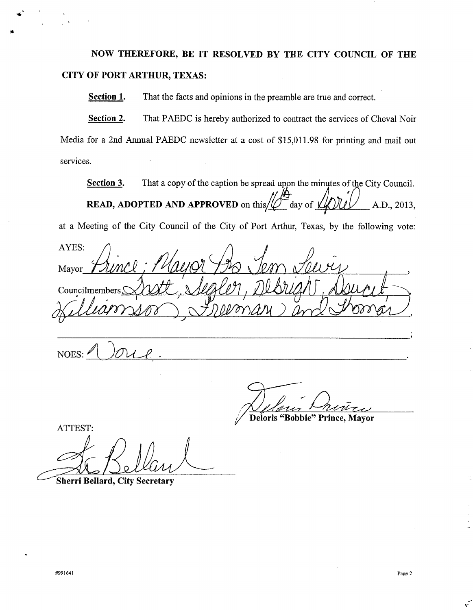**NOW THEREFORE, BE IT RESOLVED BY THE CITY COUNCIL OF THE CITY OF PORT ARTHUR, TEXAS:**

**Section 1.** That the facts and opinions in the preamble are true and correct.

**Section 2.** That PAEDC is hereby authorized to contract the services of Cheval Noir Media for a 2nd Annual PAEDC newsletter at a cost of \$15,011.98 for printing and mail out services.

**Section 3.** That a copy of the caption be spread upon the minutes of the City Council. **READ, ADOPTED AND APPROVED** on this/ $\mathcal{D}^{\dagger}$  day of  $\mathcal{L}(\mathcal{D})\mathcal{L}(\mathcal{D})$  A.D., 2013,

at a Meeting of the City Council of the City of Port Arthur, Texas, by the following vote:

AYES: *j).*  $Mavor$ Councilmember

 $NOES: 10012.$ <u>JUUL</u>

110 Prince

**Deloris "Bobbie" Prince, Mayor**

ATTEST: ~~

**Sherri Bellard, City Secretary**

 $\mathbf{r}$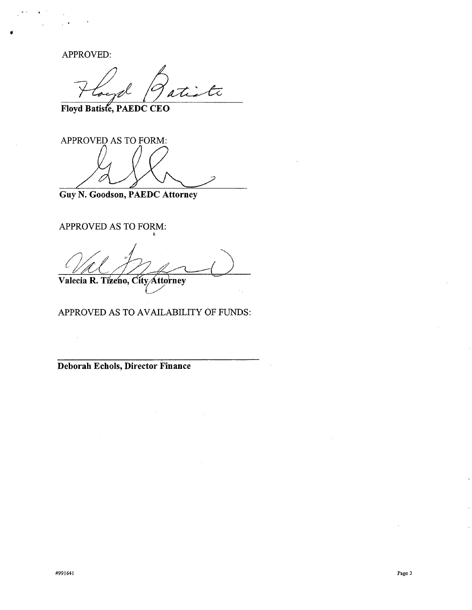APPROVED:

 $\frac{1}{2}$ 

Floyd Batiste, PAEDC CEO

APPROVED AS TO FORM:

Guy N. Goodson, PAEDC Attorney

APPROVED AS TO FORM: t

*j . t*<br>Valecia R. Tizeno, City Attorney

APPROVED AS TO AVAILABILITY OF FUNDS:

Deborah Echols, Director Finance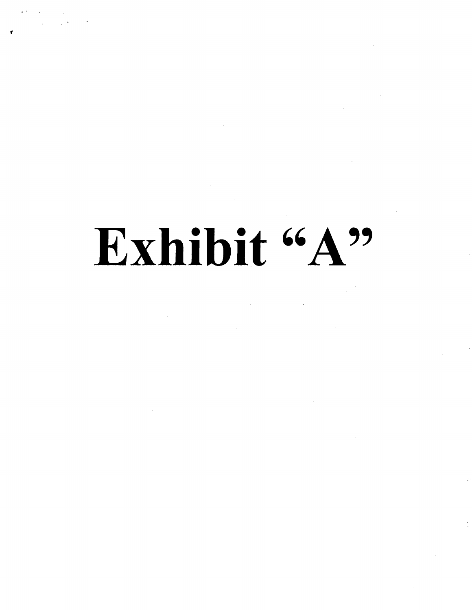## Exhibit "A"

. Since  $\mathcal{L}$  , and  $\mathcal{L}$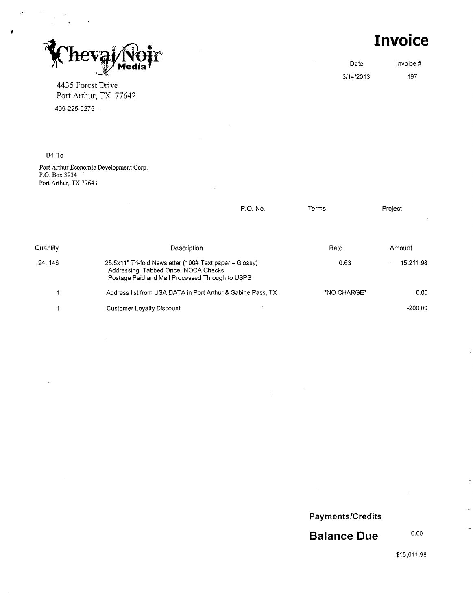IIC

4435 Forest Drive Port Arthur, TX 77642 409-225-0275

**Invoice**

Date Invoice # 3/14/2013 197

Bill To

,

Port Arthur Economic Development Corp. P.O. Box 3934 Port Arthur, TX 77643

|          | P.O. No.                                                                                                                                           | Terms       | Project           |
|----------|----------------------------------------------------------------------------------------------------------------------------------------------------|-------------|-------------------|
| Quantity | Description                                                                                                                                        | Rate        | Amount            |
| 24, 146  | 25.5x11" Tri-fold Newsletter (100# Text paper – Glossy)<br>Addressing, Tabbed Once, NOCA Checks<br>Postage Paid and Mail Processed Through to USPS | 0.63        | 15.211.98         |
|          | Address list from USA DATA in Port Arthur & Sabine Pass, TX                                                                                        | *NO CHARGE* | 0.00 <sub>1</sub> |
|          | <b>Customer Loyalty Discount</b>                                                                                                                   |             | $-200.00$         |

**Payments/Credits**

 $\mathcal{A}$ 

**Balance Due**

0.00

\$15,011.98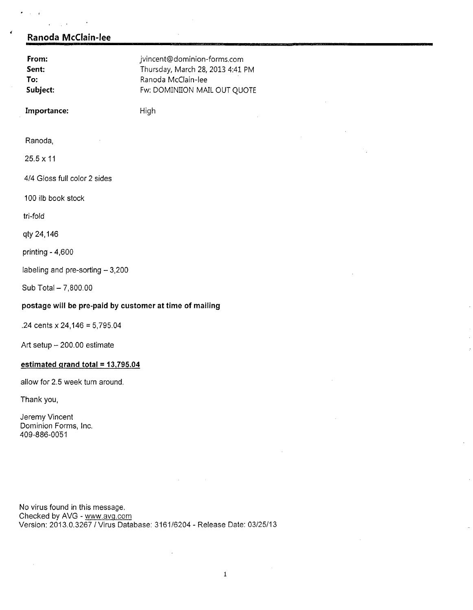## **Ranoda McClain-lee**

 $\ddot{\phantom{a}}$ 

 $\sim 10^7$ 

 $\sim 10^{-11}$ 

 $\sim -1$ 

| From:<br>Sent:<br>To:<br>Subject:                       | jvincent@dominion-forms.com<br>Thursday, March 28, 2013 4:41 PM<br>Ranoda McClain-lee<br>Fw: DOMINIION MAIL OUT QUOTE |  |  |  |
|---------------------------------------------------------|-----------------------------------------------------------------------------------------------------------------------|--|--|--|
| Importance:                                             | High                                                                                                                  |  |  |  |
| Ranoda,                                                 |                                                                                                                       |  |  |  |
| $25.5 \times 11$                                        |                                                                                                                       |  |  |  |
| 4/4 Gloss full color 2 sides                            |                                                                                                                       |  |  |  |
| 100 ilb book stock                                      |                                                                                                                       |  |  |  |
| tri-fold                                                |                                                                                                                       |  |  |  |
| qty 24,146                                              |                                                                                                                       |  |  |  |
| printing - 4,600                                        |                                                                                                                       |  |  |  |
| labeling and pre-sorting - 3,200                        |                                                                                                                       |  |  |  |
| Sub Total - 7,800.00                                    |                                                                                                                       |  |  |  |
| postage will be pre-paid by customer at time of mailing |                                                                                                                       |  |  |  |
| .24 cents $x 24,146 = 5,795.04$                         |                                                                                                                       |  |  |  |

Art setup  $-200.00$  estimate

## **estimated grand total = 13,795.04**

allow for 2.5 week **turn** around.

Thank you,

Jeremy Vincen Dominion Forms, Inc. 409-886-0051

No virus found in this message. Checked by AVG - <u>www.avg.cor</u> Version: 2013.0.3267/ Virus Database: 3161/6204 - Release Date: 03/25/13